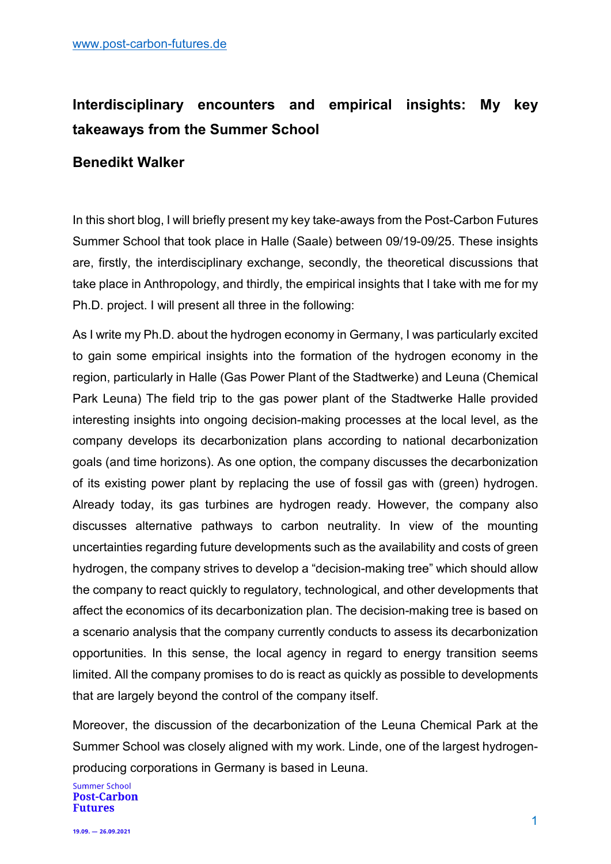## **Interdisciplinary encounters and empirical insights: My key takeaways from the Summer School**

## **Benedikt Walker**

In this short blog, I will briefly present my key take-aways from the Post-Carbon Futures Summer School that took place in Halle (Saale) between 09/19-09/25. These insights are, firstly, the interdisciplinary exchange, secondly, the theoretical discussions that take place in Anthropology, and thirdly, the empirical insights that I take with me for my Ph.D. project. I will present all three in the following:

As I write my Ph.D. about the hydrogen economy in Germany, I was particularly excited to gain some empirical insights into the formation of the hydrogen economy in the region, particularly in Halle (Gas Power Plant of the Stadtwerke) and Leuna (Chemical Park Leuna) The field trip to the gas power plant of the Stadtwerke Halle provided interesting insights into ongoing decision-making processes at the local level, as the company develops its decarbonization plans according to national decarbonization goals (and time horizons). As one option, the company discusses the decarbonization of its existing power plant by replacing the use of fossil gas with (green) hydrogen. Already today, its gas turbines are hydrogen ready. However, the company also discusses alternative pathways to carbon neutrality. In view of the mounting uncertainties regarding future developments such as the availability and costs of green hydrogen, the company strives to develop a "decision-making tree" which should allow the company to react quickly to regulatory, technological, and other developments that affect the economics of its decarbonization plan. The decision-making tree is based on a scenario analysis that the company currently conducts to assess its decarbonization opportunities. In this sense, the local agency in regard to energy transition seems limited. All the company promises to do is react as quickly as possible to developments that are largely beyond the control of the company itself.

Moreover, the discussion of the decarbonization of the Leuna Chemical Park at the Summer School was closely aligned with my work. Linde, one of the largest hydrogenproducing corporations in Germany is based in Leuna.

**Summer School Post-Carbon Futures**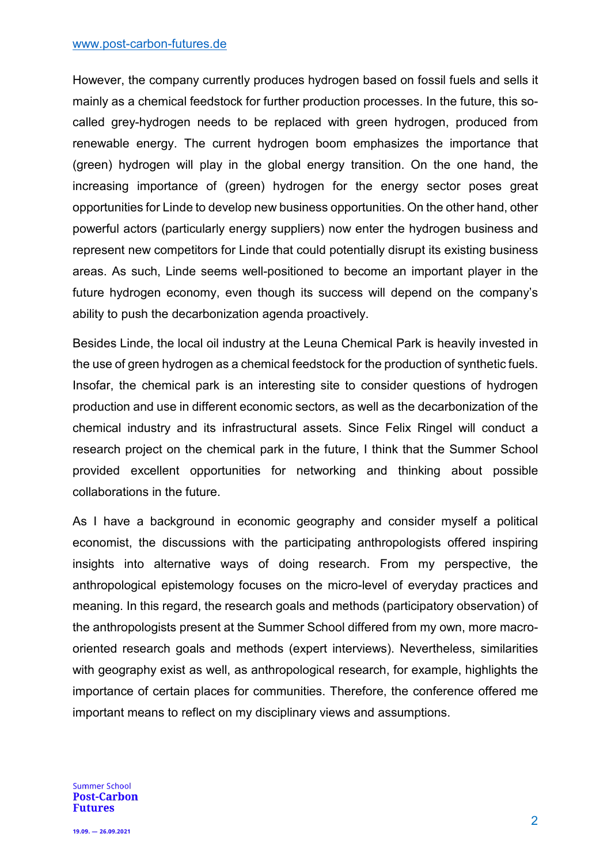However, the company currently produces hydrogen based on fossil fuels and sells it mainly as a chemical feedstock for further production processes. In the future, this socalled grey-hydrogen needs to be replaced with green hydrogen, produced from renewable energy. The current hydrogen boom emphasizes the importance that (green) hydrogen will play in the global energy transition. On the one hand, the increasing importance of (green) hydrogen for the energy sector poses great opportunities for Linde to develop new business opportunities. On the other hand, other powerful actors (particularly energy suppliers) now enter the hydrogen business and represent new competitors for Linde that could potentially disrupt its existing business areas. As such, Linde seems well-positioned to become an important player in the future hydrogen economy, even though its success will depend on the company's ability to push the decarbonization agenda proactively.

Besides Linde, the local oil industry at the Leuna Chemical Park is heavily invested in the use of green hydrogen as a chemical feedstock for the production of synthetic fuels. Insofar, the chemical park is an interesting site to consider questions of hydrogen production and use in different economic sectors, as well as the decarbonization of the chemical industry and its infrastructural assets. Since Felix Ringel will conduct a research project on the chemical park in the future, I think that the Summer School provided excellent opportunities for networking and thinking about possible collaborations in the future.

As I have a background in economic geography and consider myself a political economist, the discussions with the participating anthropologists offered inspiring insights into alternative ways of doing research. From my perspective, the anthropological epistemology focuses on the micro-level of everyday practices and meaning. In this regard, the research goals and methods (participatory observation) of the anthropologists present at the Summer School differed from my own, more macrooriented research goals and methods (expert interviews). Nevertheless, similarities with geography exist as well, as anthropological research, for example, highlights the importance of certain places for communities. Therefore, the conference offered me important means to reflect on my disciplinary views and assumptions.